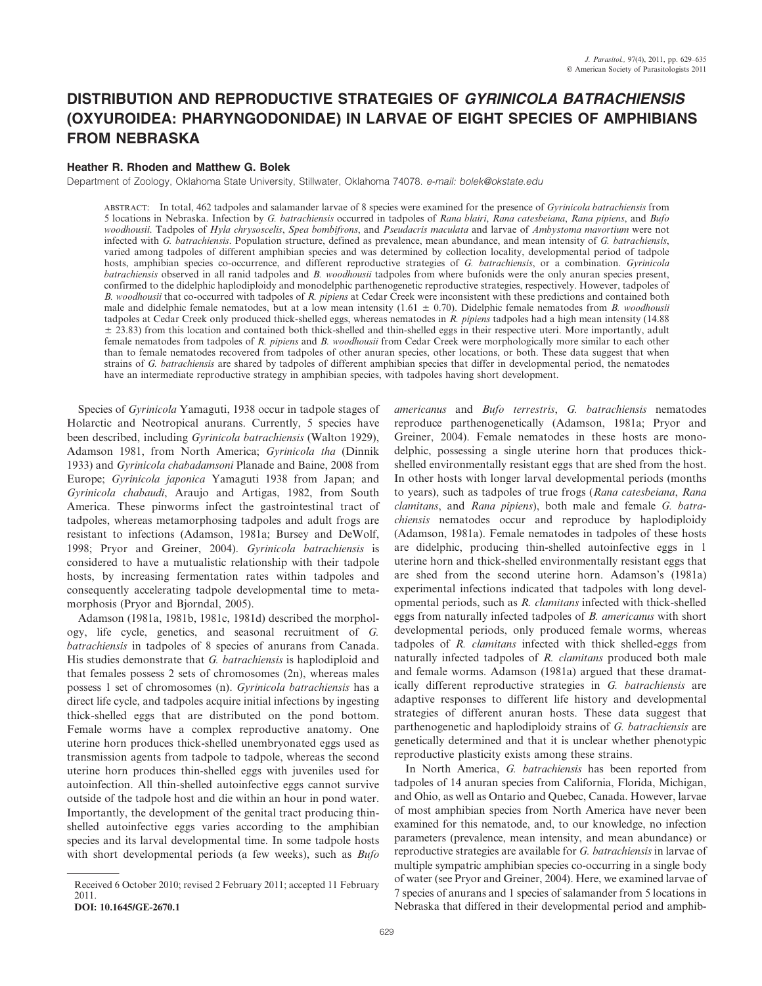# DISTRIBUTION AND REPRODUCTIVE STRATEGIES OF GYRINICOLA BATRACHIENSIS (OXYUROIDEA: PHARYNGODONIDAE) IN LARVAE OF EIGHT SPECIES OF AMPHIBIANS FROM NEBRASKA

## Heather R. Rhoden and Matthew G. Bolek

Department of Zoology, Oklahoma State University, Stillwater, Oklahoma 74078. e-mail: bolek@okstate.edu

ABSTRACT: In total, 462 tadpoles and salamander larvae of 8 species were examined for the presence of *Gyrinicola batrachiensis* from 5 locations in Nebraska. Infection by G. batrachiensis occurred in tadpoles of Rana blairi, Rana catesbeiana, Rana pipiens, and Bufo woodhousii. Tadpoles of Hyla chrysoscelis, Spea bombifrons, and Pseudacris maculata and larvae of Ambystoma mavortium were not infected with G. batrachiensis. Population structure, defined as prevalence, mean abundance, and mean intensity of G. batrachiensis, varied among tadpoles of different amphibian species and was determined by collection locality, developmental period of tadpole hosts, amphibian species co-occurrence, and different reproductive strategies of G. batrachiensis, or a combination. Gyrinicola batrachiensis observed in all ranid tadpoles and B. woodhousii tadpoles from where bufonids were the only anuran species present, confirmed to the didelphic haplodiploidy and monodelphic parthenogenetic reproductive strategies, respectively. However, tadpoles of B. woodhousii that co-occurred with tadpoles of R. pipiens at Cedar Creek were inconsistent with these predictions and contained both male and didelphic female nematodes, but at a low mean intensity  $(1.61 \pm 0.70)$ . Didelphic female nematodes from B. woodhousii tadpoles at Cedar Creek only produced thick-shelled eggs, whereas nematodes in  $R$ , pipiens tadpoles had a high mean intensity (14.88)  $\pm$  23.83) from this location and contained both thick-shelled and thin-shelled eggs in their respective uteri. More importantly, adult female nematodes from tadpoles of R. pipiens and B. woodhousii from Cedar Creek were morphologically more similar to each other than to female nematodes recovered from tadpoles of other anuran species, other locations, or both. These data suggest that when strains of G. batrachiensis are shared by tadpoles of different amphibian species that differ in developmental period, the nematodes have an intermediate reproductive strategy in amphibian species, with tadpoles having short development.

Species of Gyrinicola Yamaguti, 1938 occur in tadpole stages of Holarctic and Neotropical anurans. Currently, 5 species have been described, including Gyrinicola batrachiensis (Walton 1929), Adamson 1981, from North America; Gyrinicola tha (Dinnik 1933) and Gyrinicola chabadamsoni Planade and Baine, 2008 from Europe; Gyrinicola japonica Yamaguti 1938 from Japan; and Gyrinicola chabaudi, Araujo and Artigas, 1982, from South America. These pinworms infect the gastrointestinal tract of tadpoles, whereas metamorphosing tadpoles and adult frogs are resistant to infections (Adamson, 1981a; Bursey and DeWolf, 1998; Pryor and Greiner, 2004). Gyrinicola batrachiensis is considered to have a mutualistic relationship with their tadpole hosts, by increasing fermentation rates within tadpoles and consequently accelerating tadpole developmental time to metamorphosis (Pryor and Bjorndal, 2005).

Adamson (1981a, 1981b, 1981c, 1981d) described the morphology, life cycle, genetics, and seasonal recruitment of G. batrachiensis in tadpoles of 8 species of anurans from Canada. His studies demonstrate that G. batrachiensis is haplodiploid and that females possess 2 sets of chromosomes (2n), whereas males possess 1 set of chromosomes (n). Gyrinicola batrachiensis has a direct life cycle, and tadpoles acquire initial infections by ingesting thick-shelled eggs that are distributed on the pond bottom. Female worms have a complex reproductive anatomy. One uterine horn produces thick-shelled unembryonated eggs used as transmission agents from tadpole to tadpole, whereas the second uterine horn produces thin-shelled eggs with juveniles used for autoinfection. All thin-shelled autoinfective eggs cannot survive outside of the tadpole host and die within an hour in pond water. Importantly, the development of the genital tract producing thinshelled autoinfective eggs varies according to the amphibian species and its larval developmental time. In some tadpole hosts with short developmental periods (a few weeks), such as  $Bufo$ 

DOI: 10.1645/GE-2670.1

americanus and Bufo terrestris, G. batrachiensis nematodes reproduce parthenogenetically (Adamson, 1981a; Pryor and Greiner, 2004). Female nematodes in these hosts are monodelphic, possessing a single uterine horn that produces thickshelled environmentally resistant eggs that are shed from the host. In other hosts with longer larval developmental periods (months to years), such as tadpoles of true frogs (Rana catesbeiana, Rana clamitans, and Rana pipiens), both male and female G. batrachiensis nematodes occur and reproduce by haplodiploidy (Adamson, 1981a). Female nematodes in tadpoles of these hosts are didelphic, producing thin-shelled autoinfective eggs in 1 uterine horn and thick-shelled environmentally resistant eggs that are shed from the second uterine horn. Adamson's (1981a) experimental infections indicated that tadpoles with long developmental periods, such as R. clamitans infected with thick-shelled eggs from naturally infected tadpoles of B. americanus with short developmental periods, only produced female worms, whereas tadpoles of R. clamitans infected with thick shelled-eggs from naturally infected tadpoles of R. clamitans produced both male and female worms. Adamson (1981a) argued that these dramatically different reproductive strategies in G. batrachiensis are adaptive responses to different life history and developmental strategies of different anuran hosts. These data suggest that parthenogenetic and haplodiploidy strains of G. batrachiensis are genetically determined and that it is unclear whether phenotypic reproductive plasticity exists among these strains.

In North America, G. batrachiensis has been reported from tadpoles of 14 anuran species from California, Florida, Michigan, and Ohio, as well as Ontario and Quebec, Canada. However, larvae of most amphibian species from North America have never been examined for this nematode, and, to our knowledge, no infection parameters (prevalence, mean intensity, and mean abundance) or reproductive strategies are available for G. batrachiensis in larvae of multiple sympatric amphibian species co-occurring in a single body of water (see Pryor and Greiner, 2004). Here, we examined larvae of 7 species of anurans and 1 species of salamander from 5 locations in Nebraska that differed in their developmental period and amphib-

Received 6 October 2010; revised 2 February 2011; accepted 11 February 2011.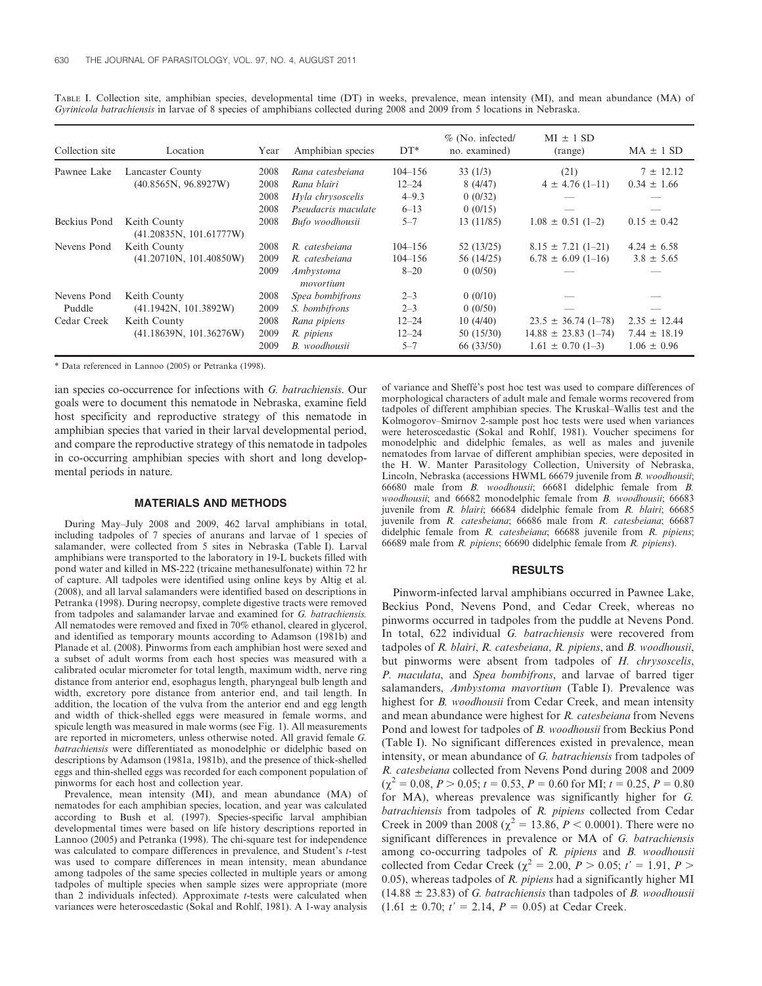| Collection site | Location                                | Year | Amphibian species      | $DT*$       | $%$ (No. infected/<br>no. examined) | $MI \pm 1 SD$<br>(range) | $MA \pm 1 SD$    |
|-----------------|-----------------------------------------|------|------------------------|-------------|-------------------------------------|--------------------------|------------------|
| Pawnee Lake     | Lancaster County                        | 2008 | Rana catesbeiana       | $104 - 156$ | 33(1/3)                             | (21)                     | $7 \pm 12.12$    |
|                 | (40.8565N, 96.8927W)                    | 2008 | Rana blairi            | $12 - 24$   | 8(4/47)                             | $4 \pm 4.76$ (1-11)      | $0.34 \pm 1.66$  |
|                 |                                         | 2008 | Hyla chrysoscelis      | $4 - 9.3$   | 0(0/32)                             |                          |                  |
|                 |                                         | 2008 | Pseudacris maculate    | $6 - 13$    | 0(0/15)                             |                          |                  |
| Beckius Pond    | Keith County<br>(41.20835N, 101.61777W) | 2008 | Bufo woodhousii        | $5 - 7$     | 13 (11/85)                          | $1.08 \pm 0.51$ (1-2)    | $0.15 \pm 0.42$  |
| Nevens Pond     | Keith County                            | 2008 | R. catesbeiana         | $104 - 156$ | 52(13/25)                           | $8.15 \pm 7.21$ (1-21)   | $4.24 \pm 6.58$  |
|                 | (41.20710N, 101.40850W)                 | 2009 | R. catesbeiana         | $104 - 156$ | 56 (14/25)                          | $6.78 \pm 6.09$ (1-16)   | $3.8 \pm 5.65$   |
|                 |                                         | 2009 | Ambystoma<br>movortium | $8 - 20$    | 0(0/50)                             |                          |                  |
| Nevens Pond     | Keith County                            | 2008 | Spea bombifrons        | $2 - 3$     | 0(0/10)                             |                          |                  |
| Puddle          | (41.1942N, 101.3892W)                   | 2009 | S. bombifrons          | $2 - 3$     | 0(0/50)                             |                          |                  |
| Cedar Creek     | Keith County                            | 2008 | Rana pipiens           | $12 - 24$   | 10(4/40)                            | $23.5 \pm 36.74$ (1-78)  | $2.35 \pm 12.44$ |
|                 | (41.18639N, 101.36276W)                 | 2009 | R. pipiens             | $12 - 24$   | 50(15/30)                           | $14.88 \pm 23.83$ (1-74) | $7.44 \pm 18.19$ |
|                 |                                         | 2009 | <b>B</b> . woodhousii  | $5 - 7$     | 66 (33/50)                          | $1.61 \pm 0.70$ (1-3)    | $1.06 \pm 0.96$  |

TABLE I. Collection site, amphibian species, developmental time (DT) in weeks, prevalence, mean intensity (MI), and mean abundance (MA) of Gyrinicola batrachiensis in larvae of 8 species of amphibians collected during 2008 and 2009 from 5 locations in Nebraska.

\* Data referenced in Lannoo (2005) or Petranka (1998).

ian species co-occurrence for infections with G. batrachiensis. Our goals were to document this nematode in Nebraska, examine field host specificity and reproductive strategy of this nematode in amphibian species that varied in their larval developmental period, and compare the reproductive strategy of this nematode in tadpoles in co-occurring amphibian species with short and long developmental periods in nature.

## MATERIALS AND METHODS

During May–July 2008 and 2009, 462 larval amphibians in total, including tadpoles of 7 species of anurans and larvae of 1 species of salamander, were collected from 5 sites in Nebraska (Table I). Larval amphibians were transported to the laboratory in 19-L buckets filled with pond water and killed in MS-222 (tricaine methanesulfonate) within 72 hr of capture. All tadpoles were identified using online keys by Altig et al. (2008), and all larval salamanders were identified based on descriptions in Petranka (1998). During necropsy, complete digestive tracts were removed from tadpoles and salamander larvae and examined for G. batrachiensis. All nematodes were removed and fixed in 70% ethanol, cleared in glycerol, and identified as temporary mounts according to Adamson (1981b) and Planade et al. (2008). Pinworms from each amphibian host were sexed and a subset of adult worms from each host species was measured with a calibrated ocular micrometer for total length, maximum width, nerve ring distance from anterior end, esophagus length, pharyngeal bulb length and width, excretory pore distance from anterior end, and tail length. In addition, the location of the vulva from the anterior end and egg length and width of thick-shelled eggs were measured in female worms, and spicule length was measured in male worms (see Fig. 1). All measurements are reported in micrometers, unless otherwise noted. All gravid female G. batrachiensis were differentiated as monodelphic or didelphic based on descriptions by Adamson (1981a, 1981b), and the presence of thick-shelled eggs and thin-shelled eggs was recorded for each component population of pinworms for each host and collection year.

Prevalence, mean intensity (MI), and mean abundance (MA) of nematodes for each amphibian species, location, and year was calculated according to Bush et al. (1997). Species-specific larval amphibian developmental times were based on life history descriptions reported in Lannoo (2005) and Petranka (1998). The chi-square test for independence was calculated to compare differences in prevalence, and Student's t-test was used to compare differences in mean intensity, mean abundance among tadpoles of the same species collected in multiple years or among tadpoles of multiple species when sample sizes were appropriate (more than 2 individuals infected). Approximate  $t$ -tests were calculated when variances were heteroscedastic (Sokal and Rohlf, 1981). A 1-way analysis of variance and Sheffe´'s post hoc test was used to compare differences of morphological characters of adult male and female worms recovered from tadpoles of different amphibian species. The Kruskal–Wallis test and the Kolmogorov–Smirnov 2-sample post hoc tests were used when variances were heteroscedastic (Sokal and Rohlf, 1981). Voucher specimens for monodelphic and didelphic females, as well as males and juvenile nematodes from larvae of different amphibian species, were deposited in the H. W. Manter Parasitology Collection, University of Nebraska, Lincoln, Nebraska (accessions HWML 66679 juvenile from B. woodhousii; 66680 male from B. woodhousii; 66681 didelphic female from B. woodhousii; and 66682 monodelphic female from B. woodhousii; 66683 juvenile from R. blairi; 66684 didelphic female from R. blairi; 66685 juvenile from R. catesbeiana; 66686 male from R. catesbeiana; 66687 didelphic female from R. catesbeiana; 66688 juvenile from R. pipiens; 66689 male from R. pipiens; 66690 didelphic female from R. pipiens).

#### RESULTS

Pinworm-infected larval amphibians occurred in Pawnee Lake, Beckius Pond, Nevens Pond, and Cedar Creek, whereas no pinworms occurred in tadpoles from the puddle at Nevens Pond. In total, 622 individual G. batrachiensis were recovered from tadpoles of R. blairi, R. catesbeiana, R. pipiens, and B. woodhousii, but pinworms were absent from tadpoles of H. chrysoscelis, P. maculata, and Spea bombifrons, and larvae of barred tiger salamanders, Ambystoma mavortium (Table I). Prevalence was highest for *B. woodhousii* from Cedar Creek, and mean intensity and mean abundance were highest for R. catesbeiana from Nevens Pond and lowest for tadpoles of B. woodhousii from Beckius Pond (Table I). No significant differences existed in prevalence, mean intensity, or mean abundance of G. batrachiensis from tadpoles of R. catesbeiana collected from Nevens Pond during 2008 and 2009  $(\chi^2 = 0.08, P > 0.05; t = 0.53, P = 0.60$  for MI;  $t = 0.25, P = 0.80$ for MA), whereas prevalence was significantly higher for G. batrachiensis from tadpoles of R. pipiens collected from Cedar Creek in 2009 than 2008 ( $\gamma^2 = 13.86$ ,  $P < 0.0001$ ). There were no significant differences in prevalence or MA of G. batrachiensis among co-occurring tadpoles of R. pipiens and B. woodhousii collected from Cedar Creek ( $\chi^2 = 2.00, P > 0.05; t' = 1.91, P >$ 0.05), whereas tadpoles of R. pipiens had a significantly higher MI  $(14.88 \pm 23.83)$  of G. batrachiensis than tadpoles of B. woodhousii  $(1.61 \pm 0.70; t' = 2.14, P = 0.05)$  at Cedar Creek.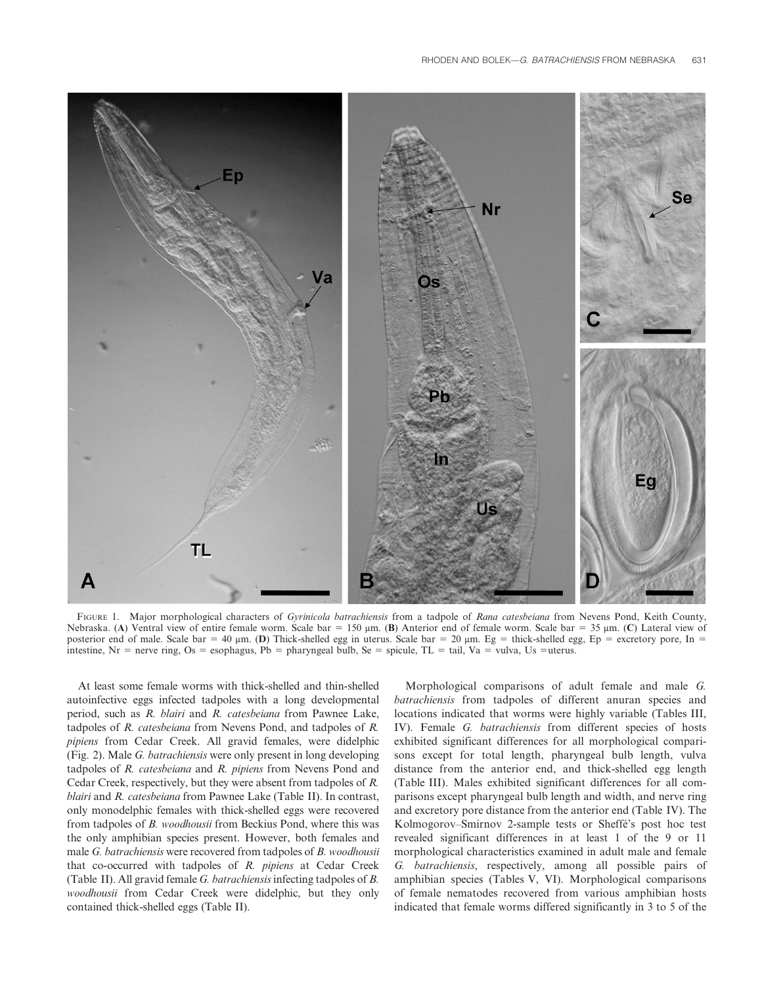

FIGURE 1. Major morphological characters of Gyrinicola batrachiensis from a tadpole of Rana catesbeiana from Nevens Pond, Keith County, Nebraska. (A) Ventral view of entire female worm. Scale bar = 150  $\mu$ m. (B) Anterior end of female worm. Scale bar = 35  $\mu$ m. (C) Lateral view of posterior end of male. Scale bar = 40  $\mu$ m. (D) Thick-shelled egg in uterus. Scale bar = 20  $\mu$ m. Eg = thick-shelled egg, Ep = excretory pore, In = intestine, Nr = nerve ring, Os = esophagus, Pb = pharyngeal bulb, Se = spicule, TL = tail, Va = vulva, Us = uterus.

At least some female worms with thick-shelled and thin-shelled autoinfective eggs infected tadpoles with a long developmental period, such as R. blairi and R. catesbeiana from Pawnee Lake, tadpoles of R. catesbeiana from Nevens Pond, and tadpoles of R. pipiens from Cedar Creek. All gravid females, were didelphic (Fig. 2). Male G. batrachiensis were only present in long developing tadpoles of R. catesbeiana and R. pipiens from Nevens Pond and Cedar Creek, respectively, but they were absent from tadpoles of R. blairi and R. catesbeiana from Pawnee Lake (Table II). In contrast, only monodelphic females with thick-shelled eggs were recovered from tadpoles of B. woodhousii from Beckius Pond, where this was the only amphibian species present. However, both females and male G. batrachiensis were recovered from tadpoles of B. woodhousii that co-occurred with tadpoles of R. pipiens at Cedar Creek (Table II). All gravid female G. batrachiensisinfecting tadpoles of B. woodhousii from Cedar Creek were didelphic, but they only contained thick-shelled eggs (Table II).

Morphological comparisons of adult female and male G. batrachiensis from tadpoles of different anuran species and locations indicated that worms were highly variable (Tables III, IV). Female G. batrachiensis from different species of hosts exhibited significant differences for all morphological comparisons except for total length, pharyngeal bulb length, vulva distance from the anterior end, and thick-shelled egg length (Table III). Males exhibited significant differences for all comparisons except pharyngeal bulb length and width, and nerve ring and excretory pore distance from the anterior end (Table IV). The Kolmogorov–Smirnov 2-sample tests or Sheffe´'s post hoc test revealed significant differences in at least 1 of the 9 or 11 morphological characteristics examined in adult male and female G. batrachiensis, respectively, among all possible pairs of amphibian species (Tables V, VI). Morphological comparisons of female nematodes recovered from various amphibian hosts indicated that female worms differed significantly in 3 to 5 of the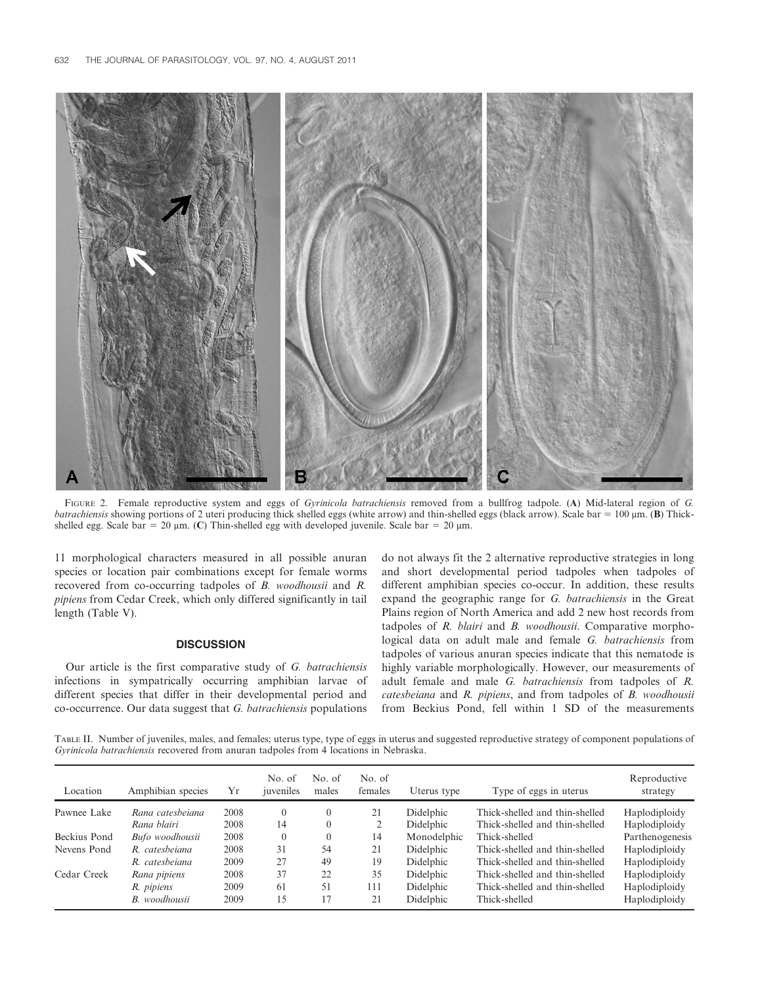

FIGURE 2. Female reproductive system and eggs of *Gyrinicola batrachiensis* removed from a bullfrog tadpole. (A) Mid-lateral region of G. batrachiensis showing portions of 2 uteri producing thick shelled eggs (white arrow) and thin-shelled eggs (black arrow). Scale bar =  $100 \mu m$ . (B) Thickshelled egg. Scale bar = 20  $\mu$ m. (C) Thin-shelled egg with developed juvenile. Scale bar = 20  $\mu$ m.

11 morphological characters measured in all possible anuran species or location pair combinations except for female worms recovered from co-occurring tadpoles of B. woodhousii and R. pipiens from Cedar Creek, which only differed significantly in tail length (Table V).

# **DISCUSSION**

Our article is the first comparative study of G. batrachiensis infections in sympatrically occurring amphibian larvae of different species that differ in their developmental period and co-occurrence. Our data suggest that G. batrachiensis populations do not always fit the 2 alternative reproductive strategies in long and short developmental period tadpoles when tadpoles of different amphibian species co-occur. In addition, these results expand the geographic range for G. batrachiensis in the Great Plains region of North America and add 2 new host records from tadpoles of R. blairi and B. woodhousii. Comparative morphological data on adult male and female G. batrachiensis from tadpoles of various anuran species indicate that this nematode is highly variable morphologically. However, our measurements of adult female and male G. batrachiensis from tadpoles of R. catesbeiana and R. pipiens, and from tadpoles of B. woodhousii from Beckius Pond, fell within 1 SD of the measurements

TABLE II. Number of juveniles, males, and females; uterus type, type of eggs in uterus and suggested reproductive strategy of component populations of Gyrinicola batrachiensis recovered from anuran tadpoles from 4 locations in Nebraska.

| Location     | Amphibian species | Υr   | No. of<br>juveniles | No. of<br>males | No. of<br>females | Uterus type | Type of eggs in uterus         | Reproductive<br>strategy |
|--------------|-------------------|------|---------------------|-----------------|-------------------|-------------|--------------------------------|--------------------------|
| Pawnee Lake  | Rana catesbeiana  | 2008 | $\theta$            | $\theta$        | 21                | Didelphic   | Thick-shelled and thin-shelled | Haplodiploidy            |
|              | Rana blairi       | 2008 | 14                  | $\overline{0}$  |                   | Didelphic   | Thick-shelled and thin-shelled | Haplodiploidy            |
| Beckius Pond | Bufo woodhousii   | 2008 | $\theta$            | $\theta$        | 14                | Monodelphic | Thick-shelled                  | Parthenogenesis          |
| Nevens Pond  | R. catesbeiana    | 2008 | 31                  | 54              | 21                | Didelphic   | Thick-shelled and thin-shelled | Haplodiploidy            |
|              | R. catesbeiana    | 2009 | 27                  | 49              | 19                | Didelphic   | Thick-shelled and thin-shelled | Haplodiploidy            |
| Cedar Creek  | Rana pipiens      | 2008 | 37                  | 22              | 35                | Didelphic   | Thick-shelled and thin-shelled | Haplodiploidy            |
|              | R. pipiens        | 2009 | 61                  | 51              | 111               | Didelphic   | Thick-shelled and thin-shelled | Haplodiploidy            |
|              | B. woodhousii     | 2009 | 15                  | 17              | 21                | Didelphic   | Thick-shelled                  | Haplodiploidy            |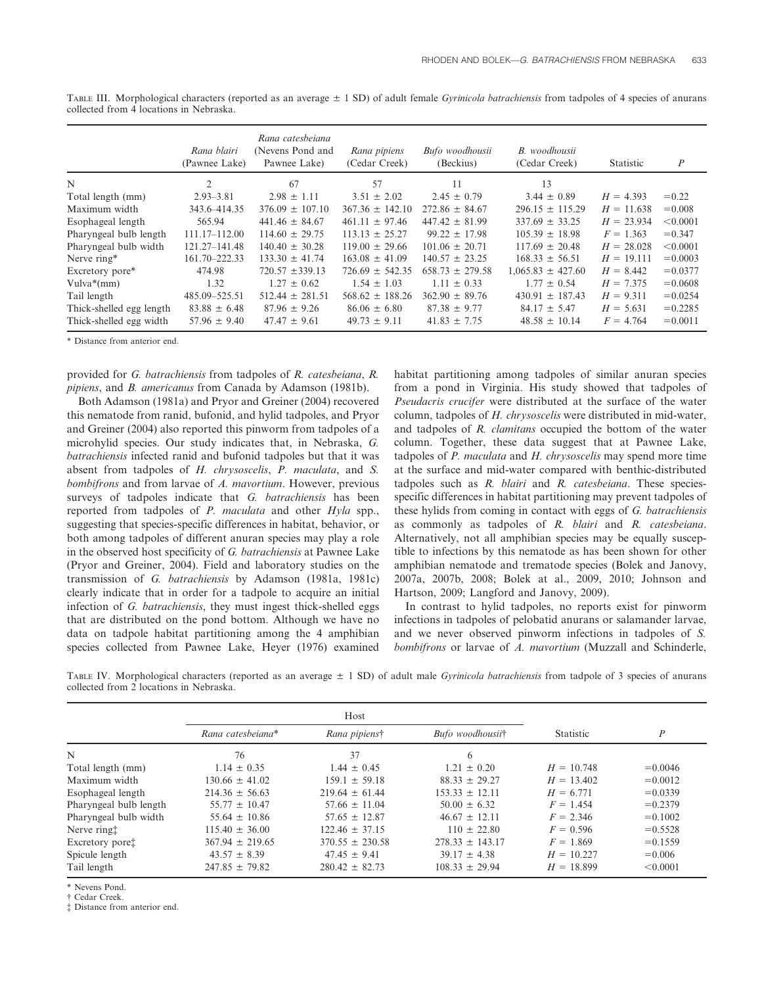|                          | Rana blairi<br>(Pawnee Lake) | Rana catesbeiana<br>(Nevens Pond and<br>Pawnee Lake) | Rana pipiens<br>(Cedar Creek) | Bufo woodhousii<br>(Beckius) | B. woodhousii<br>(Cedar Creek) | Statistic    | $\boldsymbol{P}$ |
|--------------------------|------------------------------|------------------------------------------------------|-------------------------------|------------------------------|--------------------------------|--------------|------------------|
| N                        | $\overline{2}$               | 67                                                   | 57                            | 11                           | 13                             |              |                  |
| Total length (mm)        | $2.93 - 3.81$                | $2.98 \pm 1.11$                                      | $3.51 \pm 2.02$               | $2.45 \pm 0.79$              | $3.44 \pm 0.89$                | $H = 4.393$  | $= 0.22$         |
| Maximum width            | 343.6-414.35                 | $376.09 \pm 107.10$                                  | $367.36 \pm 142.10$           | $272.86 \pm 84.67$           | $296.15 \pm 115.29$            | $H = 11.638$ | $= 0.008$        |
| Esophageal length        | 565.94                       | $441.46 \pm 84.67$                                   | $461.11 \pm 97.46$            | $447.42 \pm 81.99$           | $337.69 \pm 33.25$             | $H = 23.934$ | < 0.0001         |
| Pharyngeal bulb length   | $111.17 - 112.00$            | $114.60 \pm 29.75$                                   | $113.13 \pm 25.27$            | $99.22 \pm 17.98$            | $105.39 \pm 18.98$             | $F = 1.363$  | $= 0.347$        |
| Pharyngeal bulb width    | 121.27-141.48                | $140.40 \pm 30.28$                                   | $119.00 \pm 29.66$            | $101.06 \pm 20.71$           | $117.69 \pm 20.48$             | $H = 28.028$ | < 0.0001         |
| Nerve ring*              | 161.70-222.33                | $133.30 \pm 41.74$                                   | $163.08 \pm 41.09$            | $140.57 \pm 23.25$           | $168.33 \pm 56.51$             | $H = 19.111$ | $= 0.0003$       |
| Excretory pore*          | 474.98                       | $720.57 \pm 339.13$                                  | $726.69 \pm 542.35$           | $658.73 \pm 279.58$          | $1,065.83 \pm 427.60$          | $H = 8.442$  | $= 0.0377$       |
| $Vulva*(mm)$             | 1.32                         | $1.27 \pm 0.62$                                      | $1.54 \pm 1.03$               | $1.11 \pm 0.33$              | $1.77 \pm 0.54$                | $H = 7.375$  | $= 0.0608$       |
| Tail length              | 485.09 - 525.51              | $512.44 \pm 281.51$                                  | $568.62 \pm 188.26$           | $362.90 \pm 89.76$           | $430.91 \pm 187.43$            | $H = 9.311$  | $= 0.0254$       |
| Thick-shelled egg length | $83.88 \pm 6.48$             | $87.96 \pm 9.26$                                     | $86.06 \pm 6.80$              | $87.38 \pm 9.77$             | $84.17 \pm 5.47$               | $H = 5.631$  | $= 0.2285$       |
| Thick-shelled egg width  | $57.96 \pm 9.40$             | $47.47 \pm 9.61$                                     | $49.73 \pm 9.11$              | $41.83 \pm 7.75$             | $48.58 \pm 10.14$              | $F = 4.764$  | $= 0.0011$       |

TABLE III. Morphological characters (reported as an average  $\pm$  1 SD) of adult female *Gyrinicola batrachiensis* from tadpoles of 4 species of anurans collected from 4 locations in Nebraska.

\* Distance from anterior end.

provided for G. batrachiensis from tadpoles of R. catesbeiana, R. pipiens, and B. americanus from Canada by Adamson (1981b).

Both Adamson (1981a) and Pryor and Greiner (2004) recovered this nematode from ranid, bufonid, and hylid tadpoles, and Pryor and Greiner (2004) also reported this pinworm from tadpoles of a microhylid species. Our study indicates that, in Nebraska, G. batrachiensis infected ranid and bufonid tadpoles but that it was absent from tadpoles of H. chrysoscelis, P. maculata, and S. bombifrons and from larvae of A. mavortium. However, previous surveys of tadpoles indicate that G. batrachiensis has been reported from tadpoles of P. maculata and other Hyla spp., suggesting that species-specific differences in habitat, behavior, or both among tadpoles of different anuran species may play a role in the observed host specificity of G. batrachiensis at Pawnee Lake (Pryor and Greiner, 2004). Field and laboratory studies on the transmission of G. batrachiensis by Adamson (1981a, 1981c) clearly indicate that in order for a tadpole to acquire an initial infection of G. batrachiensis, they must ingest thick-shelled eggs that are distributed on the pond bottom. Although we have no data on tadpole habitat partitioning among the 4 amphibian species collected from Pawnee Lake, Heyer (1976) examined habitat partitioning among tadpoles of similar anuran species from a pond in Virginia. His study showed that tadpoles of Pseudacris crucifer were distributed at the surface of the water column, tadpoles of H. chrysoscelis were distributed in mid-water, and tadpoles of R. clamitans occupied the bottom of the water column. Together, these data suggest that at Pawnee Lake, tadpoles of P. maculata and H. chrysoscelis may spend more time at the surface and mid-water compared with benthic-distributed tadpoles such as R. blairi and R. catesbeiana. These speciesspecific differences in habitat partitioning may prevent tadpoles of these hylids from coming in contact with eggs of G. batrachiensis as commonly as tadpoles of R. blairi and R. catesbeiana. Alternatively, not all amphibian species may be equally susceptible to infections by this nematode as has been shown for other amphibian nematode and trematode species (Bolek and Janovy, 2007a, 2007b, 2008; Bolek at al., 2009, 2010; Johnson and Hartson, 2009; Langford and Janovy, 2009).

In contrast to hylid tadpoles, no reports exist for pinworm infections in tadpoles of pelobatid anurans or salamander larvae, and we never observed pinworm infections in tadpoles of S. bombifrons or larvae of A. mavortium (Muzzall and Schinderle,

| TABLE IV. Morphological characters (reported as an average $\pm$ 1 SD) of adult male <i>Gyrinicola batrachiensis</i> from tadpole of 3 species of anurans |  |  |  |  |  |
|-----------------------------------------------------------------------------------------------------------------------------------------------------------|--|--|--|--|--|
| collected from 2 locations in Nebraska.                                                                                                                   |  |  |  |  |  |

|                             |                     | Host                |                     |              |            |
|-----------------------------|---------------------|---------------------|---------------------|--------------|------------|
|                             | Rana catesbeiana*   | Rana pipiens†       | Bufo woodhousiit    | Statistic    | P          |
| N                           | 76                  | 37                  | 6                   |              |            |
| Total length (mm)           | $1.14 \pm 0.35$     | $1.44 \pm 0.45$     | $1.21 \pm 0.20$     | $H = 10.748$ | $= 0.0046$ |
| Maximum width               | $130.66 \pm 41.02$  | $159.1 \pm 59.18$   | $88.33 \pm 29.27$   | $H = 13.402$ | $= 0.0012$ |
| Esophageal length           | $214.36 \pm 56.63$  | $219.64 \pm 61.44$  | $153.33 \pm 12.11$  | $H = 6.771$  | $= 0.0339$ |
| Pharyngeal bulb length      | $55.77 \pm 10.47$   | $57.66 \pm 11.04$   | $50.00 \pm 6.32$    | $F = 1.454$  | $= 0.2379$ |
| Pharyngeal bulb width       | $55.64 \pm 10.86$   | $57.65 \pm 12.87$   | $46.67 \pm 12.11$   | $F = 2.346$  | $= 0.1002$ |
| Nerve ringt                 | $115.40 \pm 36.00$  | $122.46 \pm 37.15$  | $110 \pm 22.80$     | $F = 0.596$  | $= 0.5528$ |
| Excretory pore <sup>†</sup> | $367.94 \pm 219.65$ | $370.55 \pm 230.58$ | $278.33 \pm 143.17$ | $F = 1.869$  | $= 0.1559$ |
| Spicule length              | $43.57 \pm 8.39$    | $47.45 \pm 9.41$    | $39.17 \pm 4.38$    | $H = 10.227$ | $= 0.006$  |
| Tail length                 | $247.85 \pm 79.82$  | $280.42 \pm 82.73$  | $108.33 \pm 29.94$  | $H = 18.899$ | < 0.0001   |

Nevens Pond.

{ Cedar Creek.

{ Distance from anterior end.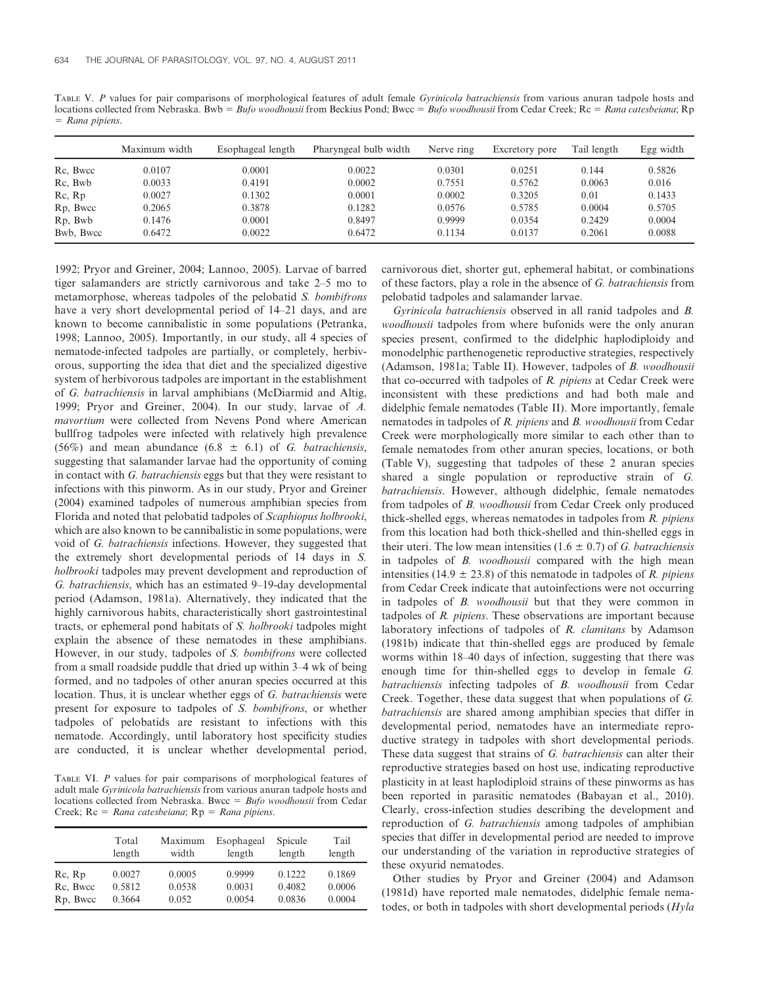TABLE V. P values for pair comparisons of morphological features of adult female Gyrinicola batrachiensis from various anuran tadpole hosts and locations collected from Nebraska. Bwb = Bufo woodhousii from Beckius Pond; Bwcc = Bufo woodhousii from Cedar Creek; Rc = Rana catesbeiana; Rp  $=$  Rana pipiens.

|           | Maximum width | Esophageal length | Pharyngeal bulb width | Nerve ring | Excretory pore | Tail length | Egg width |
|-----------|---------------|-------------------|-----------------------|------------|----------------|-------------|-----------|
| Rc, Bwcc  | 0.0107        | 0.0001            | 0.0022                | 0.0301     | 0.0251         | 0.144       | 0.5826    |
| Rc, Bwb   | 0.0033        | 0.4191            | 0.0002                | 0.7551     | 0.5762         | 0.0063      | 0.016     |
| Rc, Rp    | 0.0027        | 0.1302            | 0.0001                | 0.0002     | 0.3205         | 0.01        | 0.1433    |
| Rp, Bwcc  | 0.2065        | 0.3878            | 0.1282                | 0.0576     | 0.5785         | 0.0004      | 0.5705    |
| Rp, Bwb   | 0.1476        | 0.0001            | 0.8497                | 0.9999     | 0.0354         | 0.2429      | 0.0004    |
| Bwb. Bwcc | 0.6472        | 0.0022            | 0.6472                | 0.1134     | 0.0137         | 0.2061      | 0.0088    |

1992; Pryor and Greiner, 2004; Lannoo, 2005). Larvae of barred tiger salamanders are strictly carnivorous and take 2–5 mo to metamorphose, whereas tadpoles of the pelobatid S. bombifrons have a very short developmental period of 14–21 days, and are known to become cannibalistic in some populations (Petranka, 1998; Lannoo, 2005). Importantly, in our study, all 4 species of nematode-infected tadpoles are partially, or completely, herbivorous, supporting the idea that diet and the specialized digestive system of herbivorous tadpoles are important in the establishment of G. batrachiensis in larval amphibians (McDiarmid and Altig, 1999; Pryor and Greiner, 2004). In our study, larvae of A. mavortium were collected from Nevens Pond where American bullfrog tadpoles were infected with relatively high prevalence (56%) and mean abundance (6.8  $\pm$  6.1) of G. batrachiensis, suggesting that salamander larvae had the opportunity of coming in contact with G. batrachiensis eggs but that they were resistant to infections with this pinworm. As in our study, Pryor and Greiner (2004) examined tadpoles of numerous amphibian species from Florida and noted that pelobatid tadpoles of Scaphiopus holbrooki, which are also known to be cannibalistic in some populations, were void of G. batrachiensis infections. However, they suggested that the extremely short developmental periods of 14 days in S. holbrooki tadpoles may prevent development and reproduction of G. batrachiensis, which has an estimated 9–19-day developmental period (Adamson, 1981a). Alternatively, they indicated that the highly carnivorous habits, characteristically short gastrointestinal tracts, or ephemeral pond habitats of S. holbrooki tadpoles might explain the absence of these nematodes in these amphibians. However, in our study, tadpoles of S. bombifrons were collected from a small roadside puddle that dried up within 3–4 wk of being formed, and no tadpoles of other anuran species occurred at this location. Thus, it is unclear whether eggs of G. batrachiensis were present for exposure to tadpoles of S. bombifrons, or whether tadpoles of pelobatids are resistant to infections with this nematode. Accordingly, until laboratory host specificity studies are conducted, it is unclear whether developmental period,

TABLE VI. P values for pair comparisons of morphological features of adult male Gyrinicola batrachiensis from various anuran tadpole hosts and locations collected from Nebraska. Bwcc =  $Bufo$  woodhousii from Cedar Creek;  $Rc = R$ ana catesbeiana;  $Rp = R$ ana pipiens.

|                       | Total  | Maximum | Esophageal | Spicule | Tail   |
|-----------------------|--------|---------|------------|---------|--------|
|                       | length | width   | length     | length  | length |
| Rc, Rp                | 0.0027 | 0.0005  | 0.9999     | 0.1222  | 0.1869 |
| Rc, Bwcc              | 0.5812 | 0.0538  | 0.0031     | 0.4082  | 0.0006 |
| R <sub>p</sub> , Bwcc | 0.3664 | 0.052   | 0.0054     | 0.0836  | 0.0004 |

carnivorous diet, shorter gut, ephemeral habitat, or combinations of these factors, play a role in the absence of G. batrachiensis from pelobatid tadpoles and salamander larvae.

Gyrinicola batrachiensis observed in all ranid tadpoles and B. woodhousii tadpoles from where bufonids were the only anuran species present, confirmed to the didelphic haplodiploidy and monodelphic parthenogenetic reproductive strategies, respectively (Adamson, 1981a; Table II). However, tadpoles of B. woodhousii that co-occurred with tadpoles of R. pipiens at Cedar Creek were inconsistent with these predictions and had both male and didelphic female nematodes (Table II). More importantly, female nematodes in tadpoles of R. pipiens and B. woodhousii from Cedar Creek were morphologically more similar to each other than to female nematodes from other anuran species, locations, or both (Table V), suggesting that tadpoles of these 2 anuran species shared a single population or reproductive strain of G. batrachiensis. However, although didelphic, female nematodes from tadpoles of B. woodhousii from Cedar Creek only produced thick-shelled eggs, whereas nematodes in tadpoles from  $R$ . pipiens from this location had both thick-shelled and thin-shelled eggs in their uteri. The low mean intensities  $(1.6 \pm 0.7)$  of *G. batrachiensis* in tadpoles of B. woodhousii compared with the high mean intensities (14.9  $\pm$  23.8) of this nematode in tadpoles of *R. pipiens* from Cedar Creek indicate that autoinfections were not occurring in tadpoles of B. woodhousii but that they were common in tadpoles of  $R$ .  $pipiens$ . These observations are important because laboratory infections of tadpoles of R. clamitans by Adamson (1981b) indicate that thin-shelled eggs are produced by female worms within 18–40 days of infection, suggesting that there was enough time for thin-shelled eggs to develop in female G. batrachiensis infecting tadpoles of B. woodhousii from Cedar Creek. Together, these data suggest that when populations of G. batrachiensis are shared among amphibian species that differ in developmental period, nematodes have an intermediate reproductive strategy in tadpoles with short developmental periods. These data suggest that strains of G. batrachiensis can alter their reproductive strategies based on host use, indicating reproductive plasticity in at least haplodiploid strains of these pinworms as has been reported in parasitic nematodes (Babayan et al., 2010). Clearly, cross-infection studies describing the development and reproduction of G. batrachiensis among tadpoles of amphibian species that differ in developmental period are needed to improve our understanding of the variation in reproductive strategies of these oxyurid nematodes.

Other studies by Pryor and Greiner (2004) and Adamson (1981d) have reported male nematodes, didelphic female nematodes, or both in tadpoles with short developmental periods (Hyla